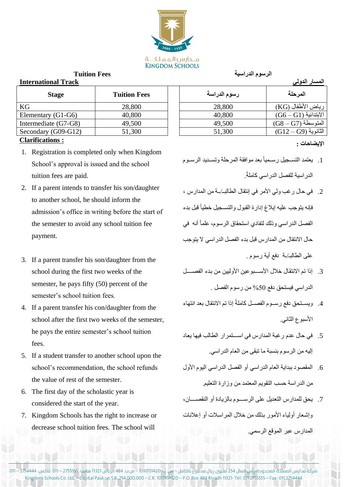## **International Track**

| <b>Stage</b>         | <b>Tuition Fees</b> | رسوم الدراسة | المرحلة              |
|----------------------|---------------------|--------------|----------------------|
| KG                   | 28,800              | 28,800       | رياض الأطفال (KG)    |
| Elementary (G1-G6)   | 40,800              | 40,800       | $(G6-G1)$ الإبتدائية |
| Intermediate (G7-G8) | 49,500              | 49,500       | المتوسطة (G8 – G7)   |
| Secondary (G09-G12)  | 51,300              | 51,300       | $(G12-G9)$ الثانوية  |

## **Clarifications :**

- 1. Registration is completed only when Kingdom School's approval is issued and the school tuition fees are paid.
- 2. If a parent intends to transfer his son/daughter to another school, he should inform the admission's office in writing before the start of the semester to avoid any school tuition fee payment.
- 3. If a parent transfer his son/daughter from the school during the first two weeks of the semester, he pays fifty (50) percent of the semester's school tuition fees.
- 4. If a parent transfer his con/daughter from the school after the first two weeks of the semester, he pays the entire semester's school tuition fees.
- 5. If a student transfer to another school upon the school's recommendation, the school refunds the value of rest of the semester.
- 6. The first day of the scholastic year is considered the start of the year.
- 7. Kingdom Schools has the right to increase or decrease school tuition fees. The school will

**الرسوم الدراسية Fees Tuition**

|  | المسار الدولي |  |
|--|---------------|--|
|  |               |  |

| <b>Stage</b>  | <b>Tuition Fees</b> | رسوم الدراسة | المرحلة                                                              |  |  |
|---------------|---------------------|--------------|----------------------------------------------------------------------|--|--|
|               | 28,800              | 28,800       | رياض الأطفال (KG)                                                    |  |  |
| y (G1-G6)     | 40,800              | 40,800       | $\vert\:\mathrm{(G6-G1)}\:\mathrm{G}$ الابتدائية $\vert\:\mathrm{G}$ |  |  |
| ate $(G7-G8)$ | 49,500              | 49,500       | $(G8 - G7)$ المتوسطة                                                 |  |  |
| $(609-G12)$   | 51,300              | 51,300       | $(G12 - G9)$ الثانوية                                                |  |  |

## **اإليضاحات :**

- 1. يعتمد التسجيل رسمياً بعد موافقة المرحلة وتسديد الرسوم الدر اسية للفصل الدر اسي كاملةً.
- 2. في حال رغب ولي الأمر في إنتقال الطالبـ/ـة من المدارس ، فإنه يتوجب عليه إبلاغ إدارة القبول والتسجيل خطياً قبل بدء الفصل الدر اسي وذلك لتفادي استحقاق الرسوم، علماً أنه في حال الانتقال من المدارس قبل بدء الفصل الدر اسي لا يتوجب علم الطالبـ/ـة دفع أية رسوم .
- 3. إذا تم الانتقال خلال الأسبوعين الأوليين من بدء الفصيل الدراسي فيستحق دفع 50% من رسوم الفصل .
- 4. ويســتحق دفع رســوم الفصــل كاملةً إذا تم الانتقال بعد انتهاء الأسبوع الثاني.
- 5. في حال عدم رغبة المدارس في استمر ار الطالب فيها يعاد إليه من الرسوم بنسبة ما نبقى من العام الدراسي.
- 6. المقصود ببداية العام الدراسي أو الفصل الدراسي اليوم الأول من الدر اسة حسب التقويم المعتمد من وزارة التعليم.
- 7. يحق للمدارس التعديل على الرسـوم بالزيادة أو النقصـــان، وإشعار أولياء الأمور بنلك من خلال المر اسلات أو إعلانات المدارس عبر الموقع الرسمي.

شركة مدارس المملكة المحدودة- رأس المال 254 مليون ريال مدفوع بالكامل – س. ت. 1010151420 – ص.ب. 484 الرياض 11321 هاتف: 2755555 – .011 فاكس: 2754444 – 011 Kingdom Schools Co. Ltd. – Capital Paid-up S.R, 254,000,000 – C.R. 1010151420 – P.O. Box 484 Riyadh 11321- Tel: 011 2755555 – Fax: 011 2754444